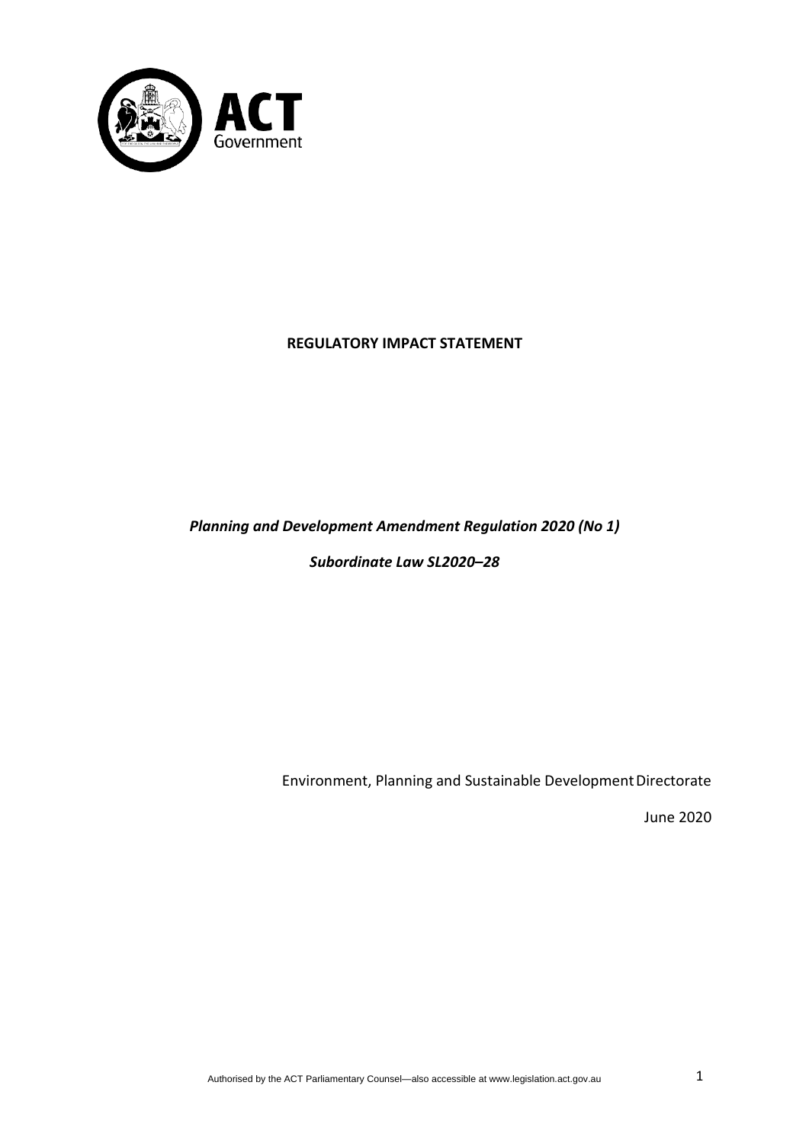

## **REGULATORY IMPACT STATEMENT**

## *Planning and Development Amendment Regulation 2020 (No 1)*

*Subordinate Law SL2020–28*

Environment, Planning and Sustainable DevelopmentDirectorate

June 2020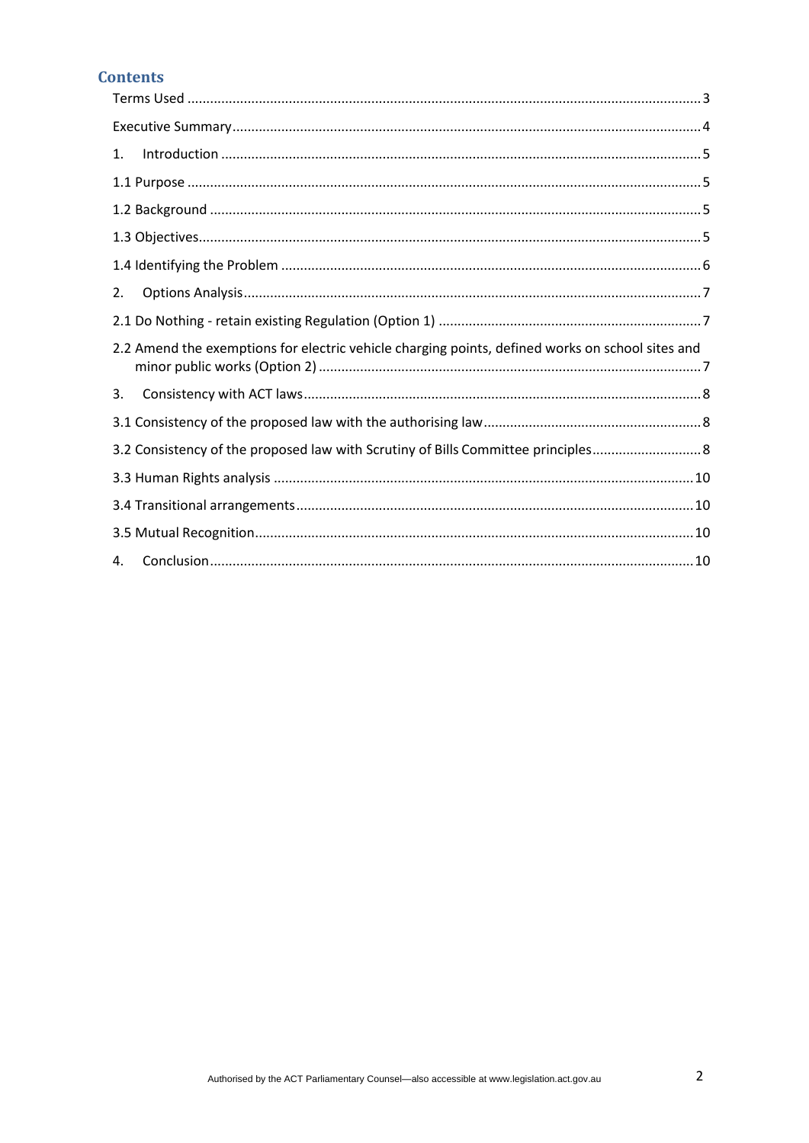## **Contents**

| 1.                                                                                               |
|--------------------------------------------------------------------------------------------------|
|                                                                                                  |
|                                                                                                  |
|                                                                                                  |
|                                                                                                  |
| 2.                                                                                               |
|                                                                                                  |
| 2.2 Amend the exemptions for electric vehicle charging points, defined works on school sites and |
| 3.                                                                                               |
|                                                                                                  |
|                                                                                                  |
|                                                                                                  |
|                                                                                                  |
|                                                                                                  |
| 4.                                                                                               |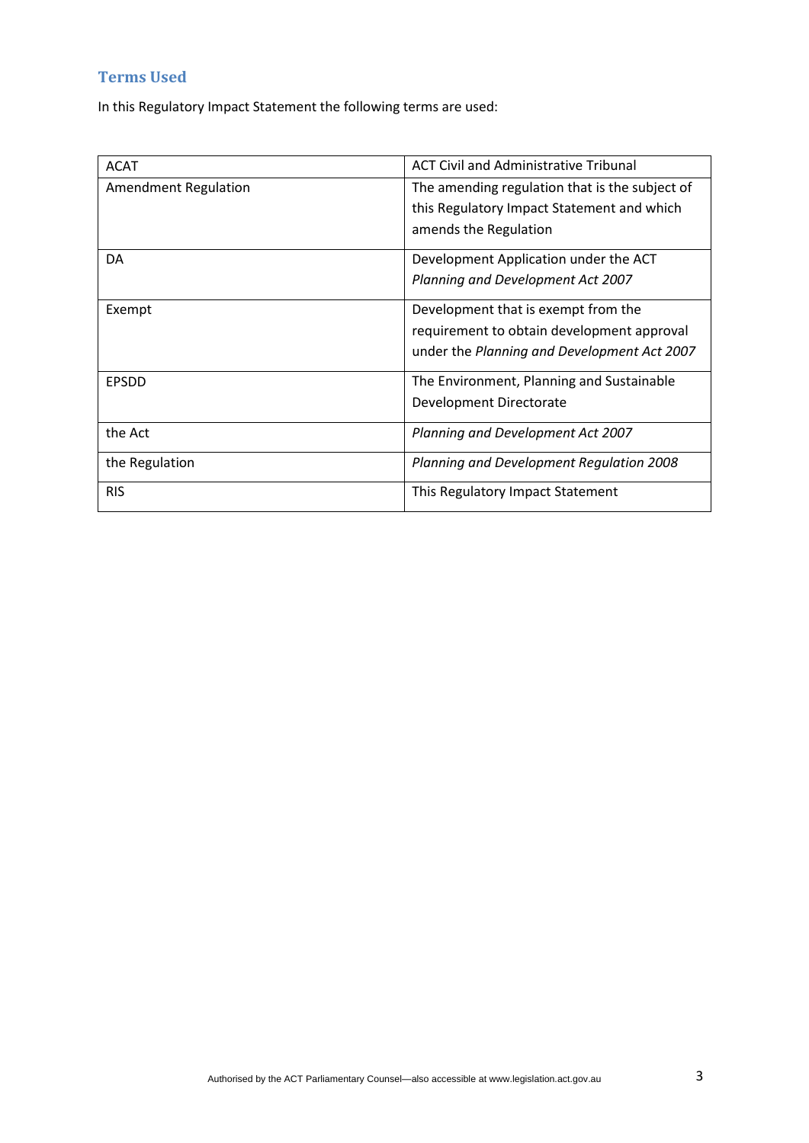# <span id="page-2-0"></span>**Terms Used**

In this Regulatory Impact Statement the following terms are used:

| <b>ACAT</b>                 | <b>ACT Civil and Administrative Tribunal</b>   |  |
|-----------------------------|------------------------------------------------|--|
| <b>Amendment Regulation</b> | The amending regulation that is the subject of |  |
|                             | this Regulatory Impact Statement and which     |  |
|                             | amends the Regulation                          |  |
| DA                          | Development Application under the ACT          |  |
|                             | Planning and Development Act 2007              |  |
| Exempt                      | Development that is exempt from the            |  |
|                             | requirement to obtain development approval     |  |
|                             | under the Planning and Development Act 2007    |  |
| <b>EPSDD</b>                | The Environment, Planning and Sustainable      |  |
|                             | Development Directorate                        |  |
| the Act                     | Planning and Development Act 2007              |  |
| the Regulation              | Planning and Development Regulation 2008       |  |
| <b>RIS</b>                  | This Regulatory Impact Statement               |  |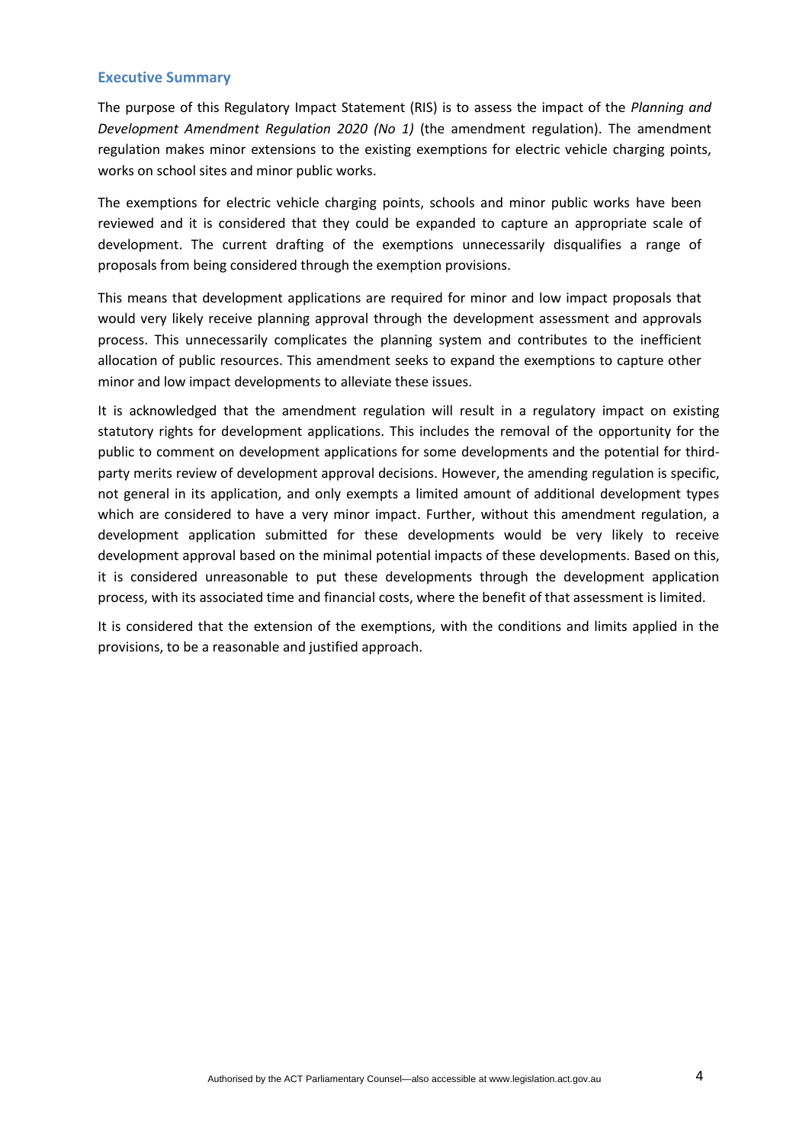#### <span id="page-3-0"></span>**Executive Summary**

The purpose of this Regulatory Impact Statement (RIS) is to assess the impact of the *Planning and Development Amendment Regulation 2020 (No 1)* (the amendment regulation). The amendment regulation makes minor extensions to the existing exemptions for electric vehicle charging points, works on school sites and minor public works.

The exemptions for electric vehicle charging points, schools and minor public works have been reviewed and it is considered that they could be expanded to capture an appropriate scale of development. The current drafting of the exemptions unnecessarily disqualifies a range of proposals from being considered through the exemption provisions.

This means that development applications are required for minor and low impact proposals that would very likely receive planning approval through the development assessment and approvals process. This unnecessarily complicates the planning system and contributes to the inefficient allocation of public resources. This amendment seeks to expand the exemptions to capture other minor and low impact developments to alleviate these issues.

It is acknowledged that the amendment regulation will result in a regulatory impact on existing statutory rights for development applications. This includes the removal of the opportunity for the public to comment on development applications for some developments and the potential for thirdparty merits review of development approval decisions. However, the amending regulation is specific, not general in its application, and only exempts a limited amount of additional development types which are considered to have a very minor impact. Further, without this amendment regulation, a development application submitted for these developments would be very likely to receive development approval based on the minimal potential impacts of these developments. Based on this, it is considered unreasonable to put these developments through the development application process, with its associated time and financial costs, where the benefit of that assessment is limited.

It is considered that the extension of the exemptions, with the conditions and limits applied in the provisions, to be a reasonable and justified approach.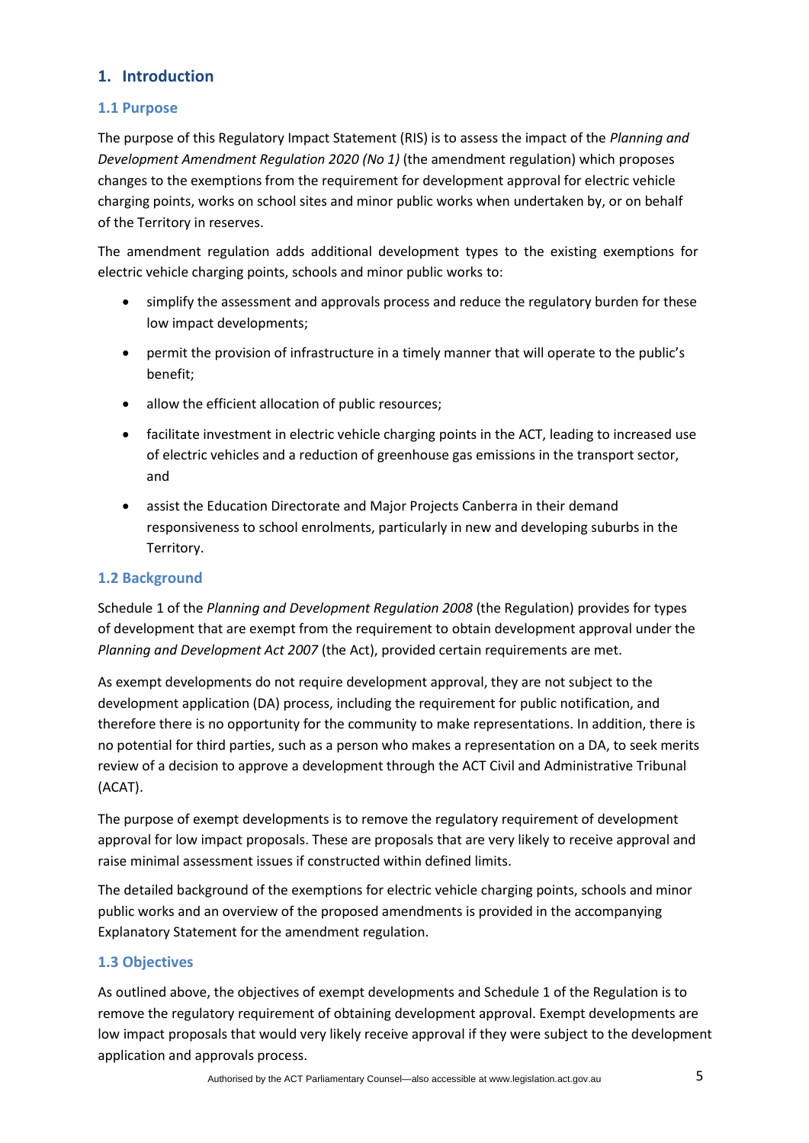## **1. Introduction**

### <span id="page-4-0"></span>**1.1 Purpose**

The purpose of this Regulatory Impact Statement (RIS) is to assess the impact of the *Planning and Development Amendment Regulation 2020 (No 1)* (the amendment regulation) which proposes changes to the exemptions from the requirement for development approval for electric vehicle charging points, works on school sites and minor public works when undertaken by, or on behalf of the Territory in reserves.

The amendment regulation adds additional development types to the existing exemptions for electric vehicle charging points, schools and minor public works to:

- simplify the assessment and approvals process and reduce the regulatory burden for these low impact developments;
- permit the provision of infrastructure in a timely manner that will operate to the public's benefit;
- allow the efficient allocation of public resources;
- facilitate investment in electric vehicle charging points in the ACT, leading to increased use of electric vehicles and a reduction of greenhouse gas emissions in the transport sector, and
- assist the Education Directorate and Major Projects Canberra in their demand responsiveness to school enrolments, particularly in new and developing suburbs in the Territory.

### <span id="page-4-1"></span>**1.2 Background**

Schedule 1 of the *Planning and Development Regulation 2008* (the Regulation) provides for types of development that are exempt from the requirement to obtain development approval under the *Planning and Development Act 2007* (the Act), provided certain requirements are met.

As exempt developments do not require development approval, they are not subject to the development application (DA) process, including the requirement for public notification, and therefore there is no opportunity for the community to make representations. In addition, there is no potential for third parties, such as a person who makes a representation on a DA, to seek merits review of a decision to approve a development through the ACT Civil and Administrative Tribunal (ACAT).

The purpose of exempt developments is to remove the regulatory requirement of development approval for low impact proposals. These are proposals that are very likely to receive approval and raise minimal assessment issues if constructed within defined limits.

The detailed background of the exemptions for electric vehicle charging points, schools and minor public works and an overview of the proposed amendments is provided in the accompanying Explanatory Statement for the amendment regulation.

### <span id="page-4-2"></span>**1.3 Objectives**

As outlined above, the objectives of exempt developments and Schedule 1 of the Regulation is to remove the regulatory requirement of obtaining development approval. Exempt developments are low impact proposals that would very likely receive approval if they were subject to the development application and approvals process.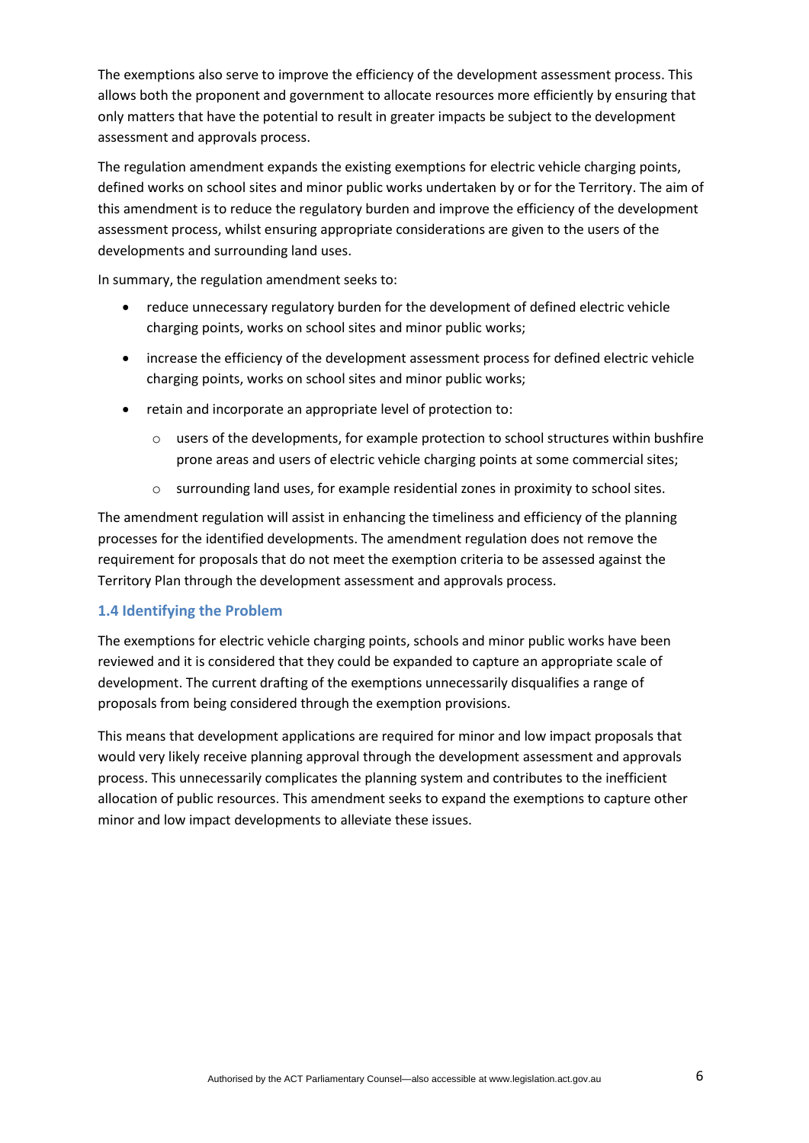The exemptions also serve to improve the efficiency of the development assessment process. This allows both the proponent and government to allocate resources more efficiently by ensuring that only matters that have the potential to result in greater impacts be subject to the development assessment and approvals process.

The regulation amendment expands the existing exemptions for electric vehicle charging points, defined works on school sites and minor public works undertaken by or for the Territory. The aim of this amendment is to reduce the regulatory burden and improve the efficiency of the development assessment process, whilst ensuring appropriate considerations are given to the users of the developments and surrounding land uses.

In summary, the regulation amendment seeks to:

- reduce unnecessary regulatory burden for the development of defined electric vehicle charging points, works on school sites and minor public works;
- increase the efficiency of the development assessment process for defined electric vehicle charging points, works on school sites and minor public works;
- retain and incorporate an appropriate level of protection to:
	- o users of the developments, for example protection to school structures within bushfire prone areas and users of electric vehicle charging points at some commercial sites;
	- o surrounding land uses, for example residential zones in proximity to school sites.

The amendment regulation will assist in enhancing the timeliness and efficiency of the planning processes for the identified developments. The amendment regulation does not remove the requirement for proposals that do not meet the exemption criteria to be assessed against the Territory Plan through the development assessment and approvals process.

### **1.4 Identifying the Problem**

The exemptions for electric vehicle charging points, schools and minor public works have been reviewed and it is considered that they could be expanded to capture an appropriate scale of development. The current drafting of the exemptions unnecessarily disqualifies a range of proposals from being considered through the exemption provisions.

This means that development applications are required for minor and low impact proposals that would very likely receive planning approval through the development assessment and approvals process. This unnecessarily complicates the planning system and contributes to the inefficient allocation of public resources. This amendment seeks to expand the exemptions to capture other minor and low impact developments to alleviate these issues.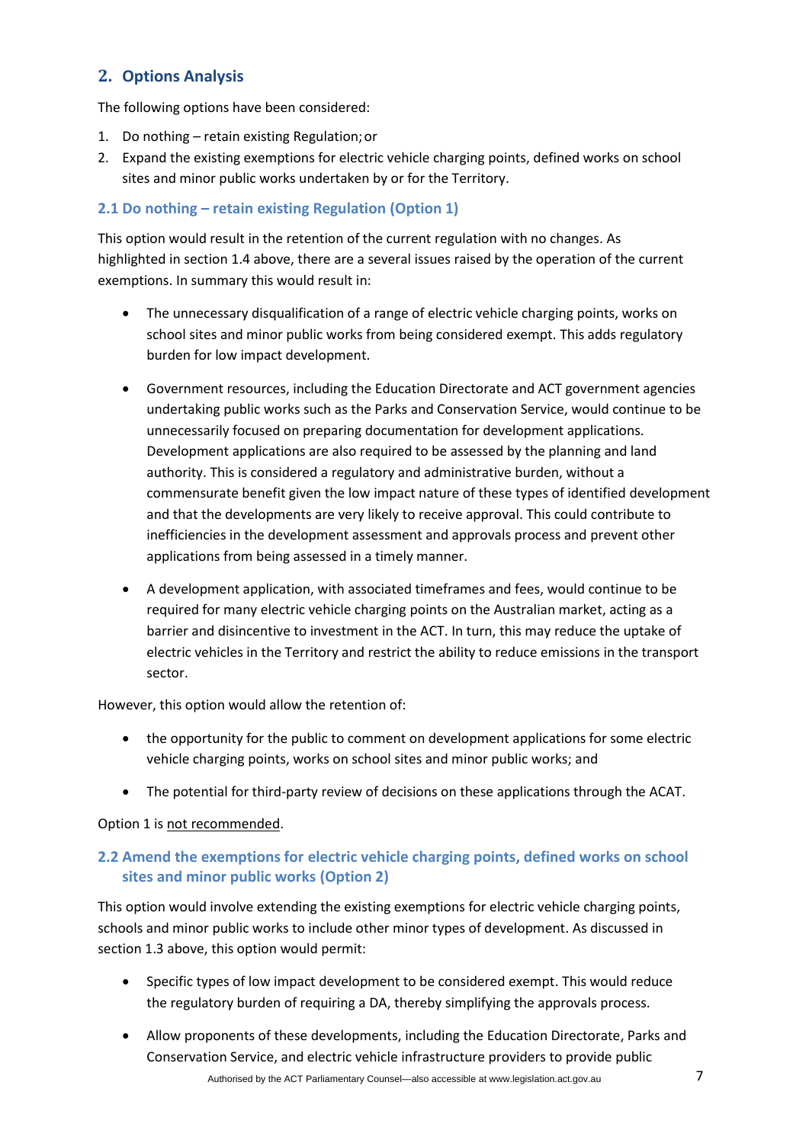## <span id="page-6-0"></span>**2. Options Analysis**

The following options have been considered:

- 1. Do nothing retain existing Regulation;or
- 2. Expand the existing exemptions for electric vehicle charging points, defined works on school sites and minor public works undertaken by or for the Territory.

## **2.1 Do nothing – retain existing Regulation (Option 1)**

This option would result in the retention of the current regulation with no changes. As highlighted in section 1.4 above, there are a several issues raised by the operation of the current exemptions. In summary this would result in:

- The unnecessary disqualification of a range of electric vehicle charging points, works on school sites and minor public works from being considered exempt. This adds regulatory burden for low impact development.
- Government resources, including the Education Directorate and ACT government agencies undertaking public works such as the Parks and Conservation Service, would continue to be unnecessarily focused on preparing documentation for development applications. Development applications are also required to be assessed by the planning and land authority. This is considered a regulatory and administrative burden, without a commensurate benefit given the low impact nature of these types of identified development and that the developments are very likely to receive approval. This could contribute to inefficiencies in the development assessment and approvals process and prevent other applications from being assessed in a timely manner.
- A development application, with associated timeframes and fees, would continue to be required for many electric vehicle charging points on the Australian market, acting as a barrier and disincentive to investment in the ACT. In turn, this may reduce the uptake of electric vehicles in the Territory and restrict the ability to reduce emissions in the transport sector.

However, this option would allow the retention of:

- the opportunity for the public to comment on development applications for some electric vehicle charging points, works on school sites and minor public works; and
- The potential for third-party review of decisions on these applications through the ACAT.

### Option 1 is not recommended.

## <span id="page-6-1"></span>**2.2 Amend the exemptions for electric vehicle charging points, defined works on school sites and minor public works (Option 2)**

This option would involve extending the existing exemptions for electric vehicle charging points, schools and minor public works to include other minor types of development. As discussed in section 1.3 above, this option would permit:

- Specific types of low impact development to be considered exempt. This would reduce the regulatory burden of requiring a DA, thereby simplifying the approvals process.
- Allow proponents of these developments, including the Education Directorate, Parks and Conservation Service, and electric vehicle infrastructure providers to provide public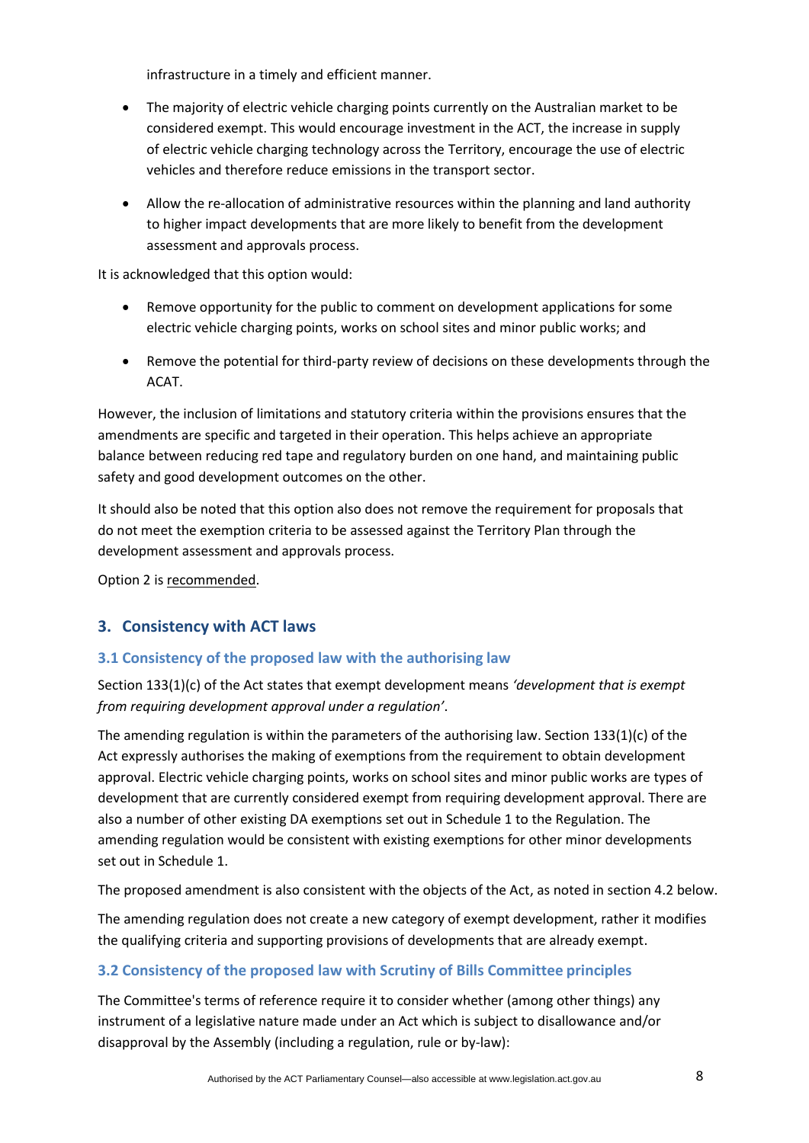infrastructure in a timely and efficient manner.

- The majority of electric vehicle charging points currently on the Australian market to be considered exempt. This would encourage investment in the ACT, the increase in supply of electric vehicle charging technology across the Territory, encourage the use of electric vehicles and therefore reduce emissions in the transport sector.
- Allow the re-allocation of administrative resources within the planning and land authority to higher impact developments that are more likely to benefit from the development assessment and approvals process.

It is acknowledged that this option would:

- Remove opportunity for the public to comment on development applications for some electric vehicle charging points, works on school sites and minor public works; and
- Remove the potential for third-party review of decisions on these developments through the ACAT.

However, the inclusion of limitations and statutory criteria within the provisions ensures that the amendments are specific and targeted in their operation. This helps achieve an appropriate balance between reducing red tape and regulatory burden on one hand, and maintaining public safety and good development outcomes on the other.

It should also be noted that this option also does not remove the requirement for proposals that do not meet the exemption criteria to be assessed against the Territory Plan through the development assessment and approvals process.

Option 2 is recommended.

## <span id="page-7-0"></span>**3. Consistency with ACT laws**

## <span id="page-7-1"></span>**3.1 Consistency of the proposed law with the authorising law**

Section 133(1)(c) of the Act states that exempt development means *'development that is exempt from requiring development approval under a regulation'*.

The amending regulation is within the parameters of the authorising law. Section 133(1)(c) of the Act expressly authorises the making of exemptions from the requirement to obtain development approval. Electric vehicle charging points, works on school sites and minor public works are types of development that are currently considered exempt from requiring development approval. There are also a number of other existing DA exemptions set out in Schedule 1 to the Regulation. The amending regulation would be consistent with existing exemptions for other minor developments set out in Schedule 1.

The proposed amendment is also consistent with the objects of the Act, as noted in section 4.2 below.

The amending regulation does not create a new category of exempt development, rather it modifies the qualifying criteria and supporting provisions of developments that are already exempt.

## <span id="page-7-2"></span>**3.2 Consistency of the proposed law with Scrutiny of Bills Committee principles**

The Committee's terms of reference require it to consider whether (among other things) any instrument of a legislative nature made under an Act which is subject to disallowance and/or disapproval by the Assembly (including a regulation, rule or by‐law):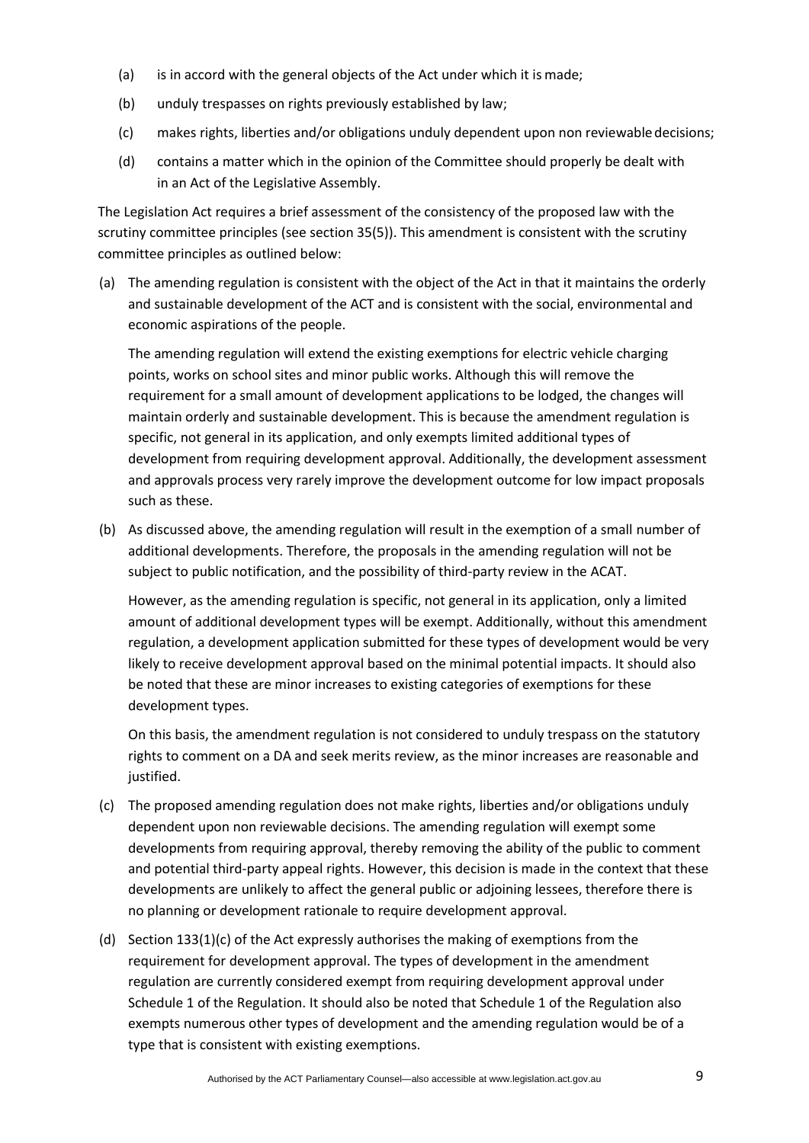- (a) is in accord with the general objects of the Act under which it is made;
- (b) unduly trespasses on rights previously established by law;
- (c) makes rights, liberties and/or obligations unduly dependent upon non reviewable decisions;
- (d) contains a matter which in the opinion of the Committee should properly be dealt with in an Act of the Legislative Assembly.

The Legislation Act requires a brief assessment of the consistency of the proposed law with the scrutiny committee principles (see section 35(5)). This amendment is consistent with the scrutiny committee principles as outlined below:

(a) The amending regulation is consistent with the object of the Act in that it maintains the orderly and sustainable development of the ACT and is consistent with the social, environmental and economic aspirations of the people.

The amending regulation will extend the existing exemptions for electric vehicle charging points, works on school sites and minor public works. Although this will remove the requirement for a small amount of development applications to be lodged, the changes will maintain orderly and sustainable development. This is because the amendment regulation is specific, not general in its application, and only exempts limited additional types of development from requiring development approval. Additionally, the development assessment and approvals process very rarely improve the development outcome for low impact proposals such as these.

(b) As discussed above, the amending regulation will result in the exemption of a small number of additional developments. Therefore, the proposals in the amending regulation will not be subject to public notification, and the possibility of third-party review in the ACAT.

However, as the amending regulation is specific, not general in its application, only a limited amount of additional development types will be exempt. Additionally, without this amendment regulation, a development application submitted for these types of development would be very likely to receive development approval based on the minimal potential impacts. It should also be noted that these are minor increases to existing categories of exemptions for these development types.

On this basis, the amendment regulation is not considered to unduly trespass on the statutory rights to comment on a DA and seek merits review, as the minor increases are reasonable and justified.

- (c) The proposed amending regulation does not make rights, liberties and/or obligations unduly dependent upon non reviewable decisions. The amending regulation will exempt some developments from requiring approval, thereby removing the ability of the public to comment and potential third-party appeal rights. However, this decision is made in the context that these developments are unlikely to affect the general public or adjoining lessees, therefore there is no planning or development rationale to require development approval.
- (d) Section 133(1)(c) of the Act expressly authorises the making of exemptions from the requirement for development approval. The types of development in the amendment regulation are currently considered exempt from requiring development approval under Schedule 1 of the Regulation. It should also be noted that Schedule 1 of the Regulation also exempts numerous other types of development and the amending regulation would be of a type that is consistent with existing exemptions.